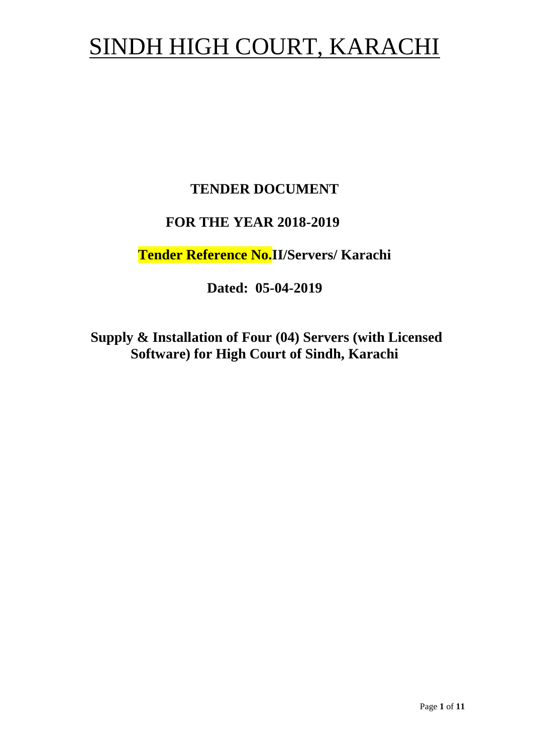# SINDH HIGH COURT, KARACHI

## **TENDER DOCUMENT**

## **FOR THE YEAR 2018-2019**

**Tender Reference No.II/Servers/ Karachi**

**Dated: 05-04-2019**

**Supply & Installation of Four (04) Servers (with Licensed Software) for High Court of Sindh, Karachi**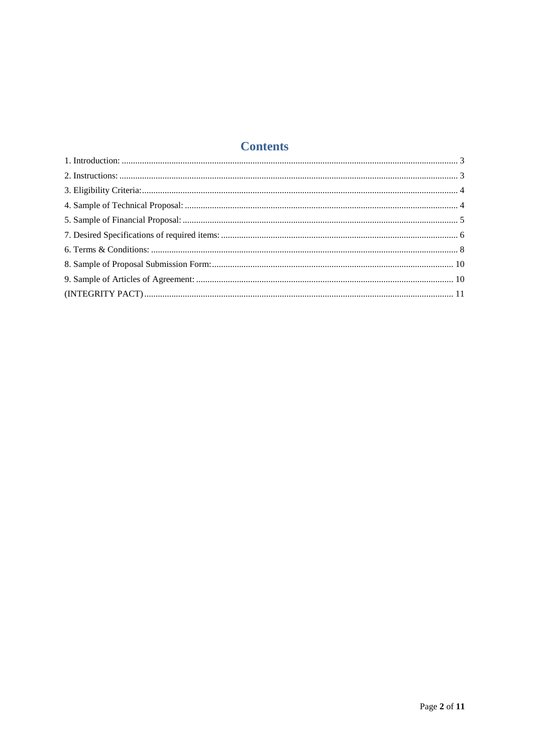## **Contents**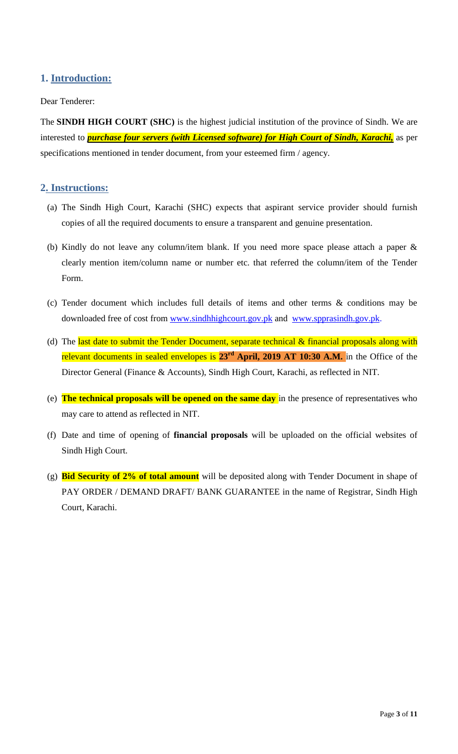## <span id="page-2-1"></span><span id="page-2-0"></span>**1. Introduction:**

#### Dear Tenderer:

The **SINDH HIGH COURT (SHC)** is the highest judicial institution of the province of [Sindh.](https://en.wikipedia.org/wiki/Sindh) We are interested to *purchase four servers (with Licensed software) for High Court of Sindh, Karachi,* as per specifications mentioned in tender document, from your esteemed firm / agency.

#### **2. Instructions:**

- (a) The Sindh High Court, Karachi (SHC) expects that aspirant service provider should furnish copies of all the required documents to ensure a transparent and genuine presentation.
- (b) Kindly do not leave any column/item blank. If you need more space please attach a paper & clearly mention item/column name or number etc. that referred the column/item of the Tender Form.
- (c) Tender document which includes full details of items and other terms & conditions may be downloaded free of cost from [www.sindhhighcourt.gov.pk](http://www.sindhhighcourt.gov.pk/) and [www.spprasindh.gov.pk.](http://www.spprasindh.gov.pk/)
- (d) The last date to submit the Tender Document, separate technical  $\&$  financial proposals along with relevant documents in sealed envelopes is **23rd April, 2019 AT 10:30 A.M.** in the Office of the Director General (Finance & Accounts), Sindh High Court, Karachi, as reflected in NIT.
- (e) **The technical proposals will be opened on the same day** in the presence of representatives who may care to attend as reflected in NIT.
- (f) Date and time of opening of **financial proposals** will be uploaded on the official websites of Sindh High Court.
- (g) **Bid Security of 2% of total amount** will be deposited along with Tender Document in shape of PAY ORDER / DEMAND DRAFT/ BANK GUARANTEE in the name of Registrar, Sindh High Court, Karachi.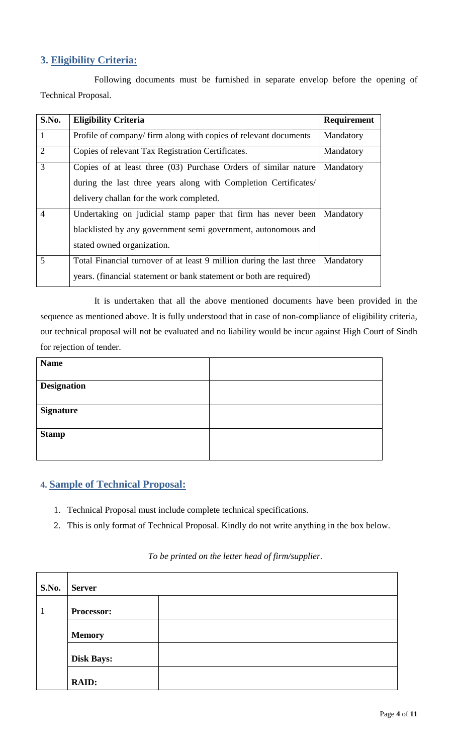## <span id="page-3-0"></span>**3. Eligibility Criteria:**

Following documents must be furnished in separate envelop before the opening of Technical Proposal.

| S.No.          | <b>Eligibility Criteria</b>                                          | Requirement |
|----------------|----------------------------------------------------------------------|-------------|
| $\mathbf{1}$   | Profile of company/ firm along with copies of relevant documents     | Mandatory   |
| 2              | Copies of relevant Tax Registration Certificates.                    | Mandatory   |
| 3              | Copies of at least three (03) Purchase Orders of similar nature      | Mandatory   |
|                | during the last three years along with Completion Certificates/      |             |
|                | delivery challan for the work completed.                             |             |
| $\overline{4}$ | Undertaking on judicial stamp paper that firm has never been         | Mandatory   |
|                | blacklisted by any government semi government, autonomous and        |             |
|                | stated owned organization.                                           |             |
| 5              | Total Financial turnover of at least 9 million during the last three | Mandatory   |
|                | years. (financial statement or bank statement or both are required)  |             |

It is undertaken that all the above mentioned documents have been provided in the sequence as mentioned above. It is fully understood that in case of non-compliance of eligibility criteria, our technical proposal will not be evaluated and no liability would be incur against High Court of Sindh for rejection of tender.

<span id="page-3-1"></span>

| <b>Name</b>        |  |
|--------------------|--|
|                    |  |
| <b>Designation</b> |  |
|                    |  |
| <b>Signature</b>   |  |
|                    |  |
| <b>Stamp</b>       |  |
|                    |  |
|                    |  |

## **4. Sample of Technical Proposal:**

- 1. Technical Proposal must include complete technical specifications.
- 2. This is only format of Technical Proposal. Kindly do not write anything in the box below.

## *To be printed on the letter head of firm/supplier.*

| <b>S.No.</b> | <b>Server</b>     |  |  |
|--------------|-------------------|--|--|
| 1            | Processor:        |  |  |
|              | <b>Memory</b>     |  |  |
|              | <b>Disk Bays:</b> |  |  |
|              | <b>RAID:</b>      |  |  |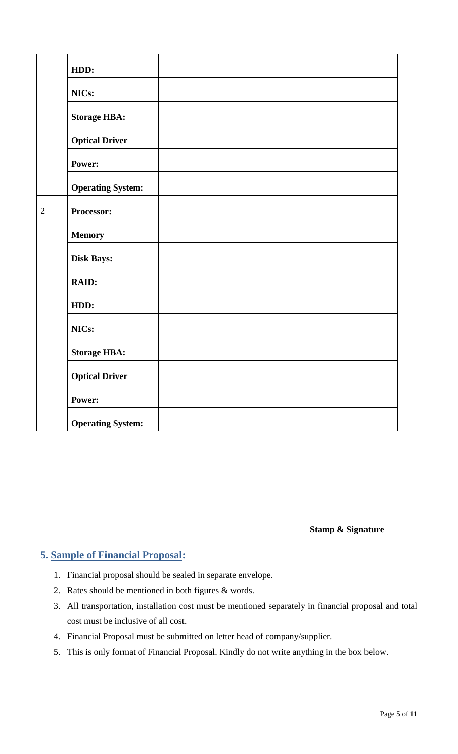|                | HDD:                     |  |
|----------------|--------------------------|--|
|                | NICs:                    |  |
|                | <b>Storage HBA:</b>      |  |
|                | <b>Optical Driver</b>    |  |
|                | Power:                   |  |
|                | <b>Operating System:</b> |  |
| $\overline{2}$ | Processor:               |  |
|                | <b>Memory</b>            |  |
|                | <b>Disk Bays:</b>        |  |
|                | RAID:                    |  |
|                | HDD:                     |  |
|                | NICs:                    |  |
|                | <b>Storage HBA:</b>      |  |
|                | <b>Optical Driver</b>    |  |
|                | Power:                   |  |
|                | <b>Operating System:</b> |  |

**Stamp & Signature**

## <span id="page-4-0"></span>**5. Sample of Financial Proposal:**

- 1. Financial proposal should be sealed in separate envelope.
- 2. Rates should be mentioned in both figures & words.
- 3. All transportation, installation cost must be mentioned separately in financial proposal and total cost must be inclusive of all cost.
- 4. Financial Proposal must be submitted on letter head of company/supplier.
- 5. This is only format of Financial Proposal. Kindly do not write anything in the box below.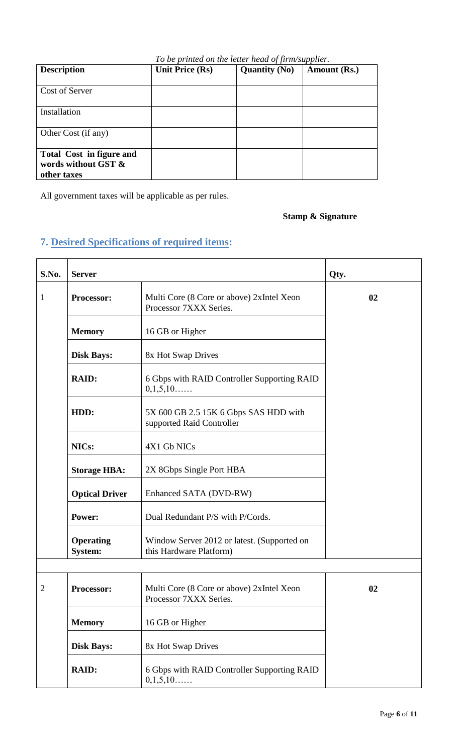<span id="page-5-0"></span>

|                                                                       |                        | To be printed on the letter head of firm/supplier. |              |
|-----------------------------------------------------------------------|------------------------|----------------------------------------------------|--------------|
| <b>Description</b>                                                    | <b>Unit Price (Rs)</b> | <b>Quantity (No)</b>                               | Amount (Rs.) |
| Cost of Server                                                        |                        |                                                    |              |
| Installation                                                          |                        |                                                    |              |
| Other Cost (if any)                                                   |                        |                                                    |              |
| <b>Total Cost in figure and</b><br>words without GST &<br>other taxes |                        |                                                    |              |

All government taxes will be applicable as per rules.

## **Stamp & Signature**

## **7. Desired Specifications of required items:**

| S.No.        | <b>Server</b>                                                              | Qty.                                                                   |    |
|--------------|----------------------------------------------------------------------------|------------------------------------------------------------------------|----|
| $\mathbf{1}$ | Processor:                                                                 | Multi Core (8 Core or above) 2xIntel Xeon<br>Processor 7XXX Series.    | 02 |
|              | <b>Memory</b>                                                              | 16 GB or Higher                                                        |    |
|              | <b>Disk Bays:</b>                                                          | 8x Hot Swap Drives                                                     |    |
|              | <b>RAID:</b><br>6 Gbps with RAID Controller Supporting RAID<br>0,1,5,10    |                                                                        |    |
|              | 5X 600 GB 2.5 15K 6 Gbps SAS HDD with<br>HDD:<br>supported Raid Controller |                                                                        |    |
|              | NICs:<br>4X1 Gb NICs                                                       |                                                                        |    |
|              | <b>Storage HBA:</b><br>2X 8Gbps Single Port HBA                            |                                                                        |    |
|              | <b>Optical Driver</b><br>Enhanced SATA (DVD-RW)                            |                                                                        |    |
|              | Dual Redundant P/S with P/Cords.<br>Power:                                 |                                                                        |    |
|              | <b>Operating</b><br><b>System:</b>                                         | Window Server 2012 or latest. (Supported on<br>this Hardware Platform) |    |
|              |                                                                            |                                                                        |    |
| 2            | <b>Processor:</b>                                                          | Multi Core (8 Core or above) 2xIntel Xeon<br>Processor 7XXX Series.    | 02 |
|              | <b>Memory</b>                                                              | 16 GB or Higher                                                        |    |
|              | <b>Disk Bays:</b>                                                          | 8x Hot Swap Drives                                                     |    |
|              | <b>RAID:</b>                                                               | 6 Gbps with RAID Controller Supporting RAID<br>0,1,5,10                |    |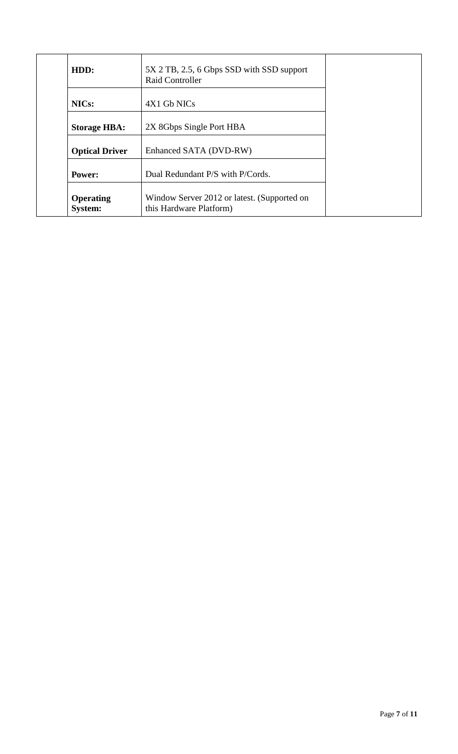| HDD:                               | 5X 2 TB, 2.5, 6 Gbps SSD with SSD support<br><b>Raid Controller</b>    |
|------------------------------------|------------------------------------------------------------------------|
| NIC <sub>s</sub> :                 | 4X1 Gb NICs                                                            |
| <b>Storage HBA:</b>                | 2X 8Gbps Single Port HBA                                               |
| <b>Optical Driver</b>              | Enhanced SATA (DVD-RW)                                                 |
| Power:                             | Dual Redundant P/S with P/Cords.                                       |
| <b>Operating</b><br><b>System:</b> | Window Server 2012 or latest. (Supported on<br>this Hardware Platform) |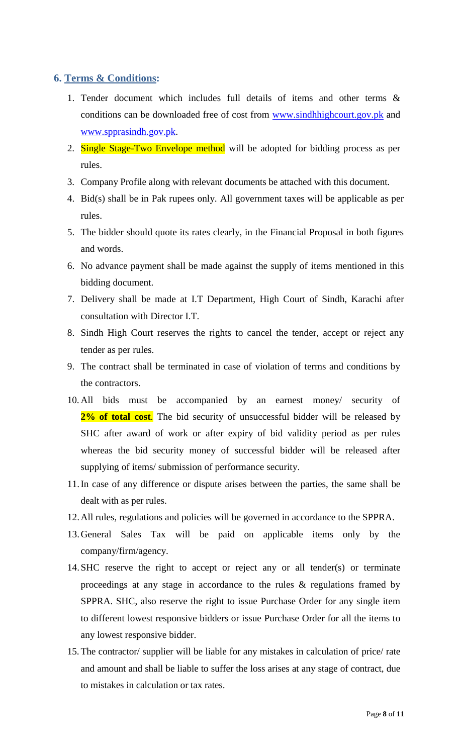### <span id="page-7-0"></span>**6. Terms & Conditions:**

- 1. Tender document which includes full details of items and other terms & conditions can be downloaded free of cost from [www.sindhhighcourt.gov.pk](http://www.sindhhighcourt.gov.pk/) and [www.spprasindh.gov.pk.](http://www.spprasindh.gov.pk/)
- 2. Single Stage-Two Envelope method will be adopted for bidding process as per rules.
- 3. Company Profile along with relevant documents be attached with this document.
- 4. Bid(s) shall be in Pak rupees only. All government taxes will be applicable as per rules.
- 5. The bidder should quote its rates clearly, in the Financial Proposal in both figures and words.
- 6. No advance payment shall be made against the supply of items mentioned in this bidding document.
- 7. Delivery shall be made at I.T Department, High Court of Sindh, Karachi after consultation with Director I.T.
- 8. Sindh High Court reserves the rights to cancel the tender, accept or reject any tender as per rules.
- 9. The contract shall be terminated in case of violation of terms and conditions by the contractors.
- 10. All bids must be accompanied by an earnest money/ security of 2% of total cost. The bid security of unsuccessful bidder will be released by SHC after award of work or after expiry of bid validity period as per rules whereas the bid security money of successful bidder will be released after supplying of items/ submission of performance security.
- 11.In case of any difference or dispute arises between the parties, the same shall be dealt with as per rules.
- 12.All rules, regulations and policies will be governed in accordance to the SPPRA.
- 13.General Sales Tax will be paid on applicable items only by the company/firm/agency.
- 14.SHC reserve the right to accept or reject any or all tender(s) or terminate proceedings at any stage in accordance to the rules & regulations framed by SPPRA. SHC, also reserve the right to issue Purchase Order for any single item to different lowest responsive bidders or issue Purchase Order for all the items to any lowest responsive bidder.
- 15. The contractor/ supplier will be liable for any mistakes in calculation of price/ rate and amount and shall be liable to suffer the loss arises at any stage of contract, due to mistakes in calculation or tax rates.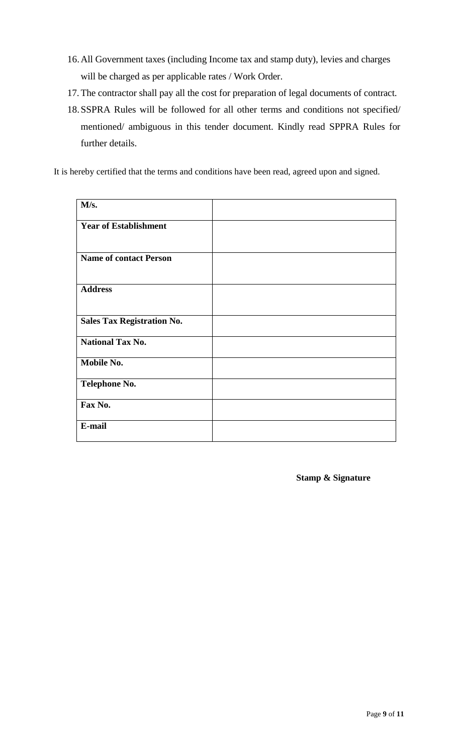- 16.All Government taxes (including Income tax and stamp duty), levies and charges will be charged as per applicable rates / Work Order.
- 17. The contractor shall pay all the cost for preparation of legal documents of contract.
- 18.SSPRA Rules will be followed for all other terms and conditions not specified/ mentioned/ ambiguous in this tender document. Kindly read SPPRA Rules for further details.

It is hereby certified that the terms and conditions have been read, agreed upon and signed.

| M/s.                              |  |
|-----------------------------------|--|
| <b>Year of Establishment</b>      |  |
| <b>Name of contact Person</b>     |  |
| <b>Address</b>                    |  |
| <b>Sales Tax Registration No.</b> |  |
| <b>National Tax No.</b>           |  |
| Mobile No.                        |  |
| <b>Telephone No.</b>              |  |
| Fax No.                           |  |
| E-mail                            |  |

**Stamp & Signature**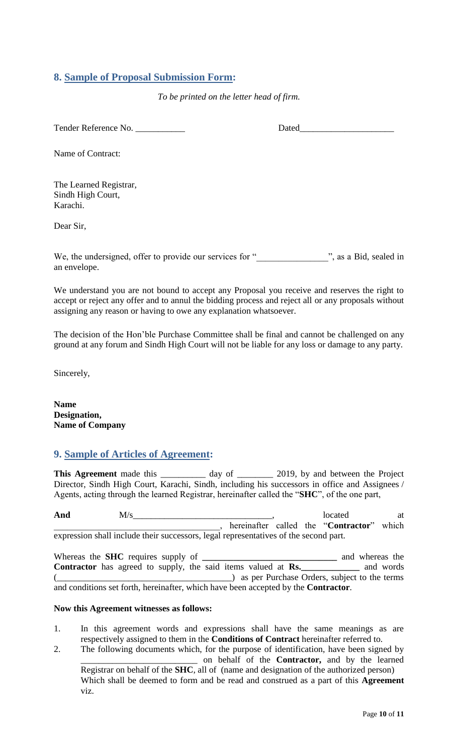### <span id="page-9-0"></span>**8. Sample of Proposal Submission Form:**

*To be printed on the letter head of firm.*

Tender Reference No. \_\_\_\_\_\_\_\_\_\_\_ Dated\_\_\_\_\_\_\_\_\_\_\_\_\_\_\_\_\_\_\_\_\_

Name of Contract:

The Learned Registrar, Sindh High Court, Karachi.

Dear Sir,

We, the undersigned, offer to provide our services for "<br>
", as a Bid, sealed in an envelope.

<span id="page-9-1"></span>We understand you are not bound to accept any Proposal you receive and reserves the right to accept or reject any offer and to annul the bidding process and reject all or any proposals without assigning any reason or having to owe any explanation whatsoever.

The decision of the Hon"ble Purchase Committee shall be final and cannot be challenged on any ground at any forum and Sindh High Court will not be liable for any loss or damage to any party.

Sincerely,

**Name Designation, Name of Company**

#### **9. Sample of Articles of Agreement:**

This Agreement made this \_\_\_\_\_\_\_\_\_\_ day of \_\_\_\_\_\_\_\_ 2019, by and between the Project Director, Sindh High Court, Karachi, Sindh, including his successors in office and Assignees / Agents, acting through the learned Registrar, hereinafter called the "**SHC**", of the one part,

And  $M/s$  at  $M/s$  at  $M/s$  at  $M/s$  at  $M$ \_\_\_\_\_\_\_\_\_\_\_\_\_\_\_\_\_\_\_\_\_\_\_\_\_\_\_\_\_\_\_\_\_\_\_\_\_, hereinafter called the "**Contractor**" which expression shall include their successors, legal representatives of the second part.

Whereas the **SHC** requires supply of **\_\_\_\_\_\_\_\_\_\_\_\_\_\_\_\_\_\_\_\_\_\_\_\_\_\_\_\_\_\_** and whereas the **Contractor** has agreed to supply, the said items valued at **Rs.\_\_\_\_\_\_\_\_\_\_\_\_\_** and words (\_\_\_\_\_\_\_\_\_\_\_\_\_\_\_\_\_\_\_\_\_\_\_\_\_\_\_\_\_\_\_\_\_\_\_\_\_\_\_) as per Purchase Orders, subject to the terms and conditions set forth, hereinafter, which have been accepted by the **Contractor**.

#### **Now this Agreement witnesses as follows:**

- 1. In this agreement words and expressions shall have the same meanings as are respectively assigned to them in the **Conditions of Contract** hereinafter referred to.
- 2. The following documents which, for the purpose of identification, have been signed by \_\_\_\_\_\_\_\_\_\_\_\_\_\_\_\_\_\_\_\_\_\_\_\_\_\_ on behalf of the **Contractor,** and by the learned Registrar on behalf of the **SHC**, all of (name and designation of the authorized person) Which shall be deemed to form and be read and construed as a part of this **Agreement**  viz.